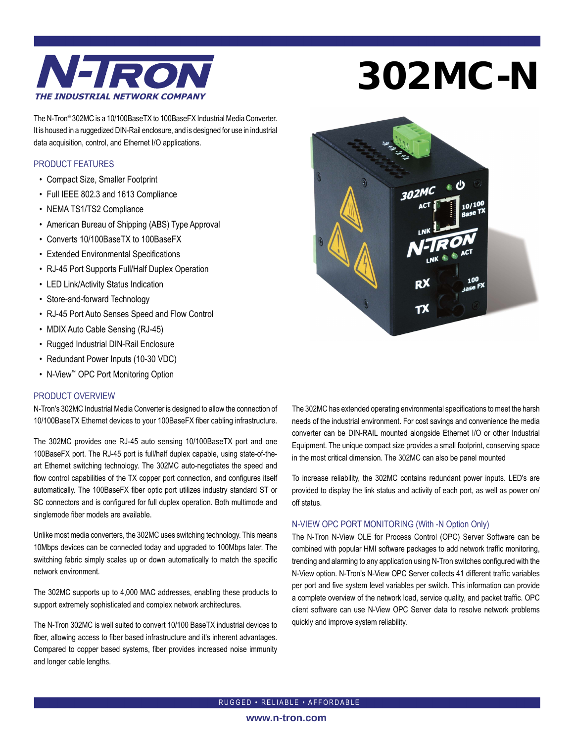

# 302MC-N

The N-Tron® 302MC is a 10/100BaseTX to 100BaseFX Industrial Media Converter. It is housed in a ruggedized DIN-Rail enclosure, and is designed for use in industrial data acquisition, control, and Ethernet I/O applications.

#### PRODUCT FEATURES

- Compact Size, Smaller Footprint
- Full IEEE 802.3 and 1613 Compliance
- NEMA TS1/TS2 Compliance
- American Bureau of Shipping (ABS) Type Approval
- Converts 10/100BaseTX to 100BaseFX
- Extended Environmental Specifications
- RJ-45 Port Supports Full/Half Duplex Operation
- LED Link/Activity Status Indication
- Store-and-forward Technology
- RJ-45 Port Auto Senses Speed and Flow Control
- MDIX Auto Cable Sensing (RJ-45)
- Rugged Industrial DIN-Rail Enclosure
- Redundant Power Inputs (10-30 VDC)
- N-View™ OPC Port Monitoring Option

#### PRODUCT OVERVIEW

N-Tron's 302MC Industrial Media Converter is designed to allow the connection of 10/100BaseTX Ethernet devices to your 100BaseFX fiber cabling infrastructure.

The 302MC provides one RJ-45 auto sensing 10/100BaseTX port and one 100BaseFX port. The RJ-45 port is full/half duplex capable, using state-of-theart Ethernet switching technology. The 302MC auto-negotiates the speed and flow control capabilities of the TX copper port connection, and configures itself automatically. The 100BaseFX fiber optic port utilizes industry standard ST or SC connectors and is configured for full duplex operation. Both multimode and singlemode fiber models are available.

Unlike most media converters, the 302MC uses switching technology. This means 10Mbps devices can be connected today and upgraded to 100Mbps later. The switching fabric simply scales up or down automatically to match the specific network environment.

The 302MC supports up to 4,000 MAC addresses, enabling these products to support extremely sophisticated and complex network architectures.

The N-Tron 302MC is well suited to convert 10/100 BaseTX industrial devices to fiber, allowing access to fiber based infrastructure and it's inherent advantages. Compared to copper based systems, fiber provides increased noise immunity and longer cable lengths.



The 302MC has extended operating environmental specifications to meet the harsh needs of the industrial environment. For cost savings and convenience the media converter can be DIN-RAIL mounted alongside Ethernet I/O or other Industrial Equipment. The unique compact size provides a small footprint, conserving space in the most critical dimension. The 302MC can also be panel mounted

To increase reliability, the 302MC contains redundant power inputs. LED's are provided to display the link status and activity of each port, as well as power on/ off status.

#### N-VIEW OPC PORT MONITORING (With -N Option Only)

The N-Tron N-View OLE for Process Control (OPC) Server Software can be combined with popular HMI software packages to add network traffic monitoring, trending and alarming to any application using N-Tron switches configured with the N-View option. N-Tron's N-View OPC Server collects 41 different traffic variables per port and five system level variables per switch. This information can provide a complete overview of the network load, service quality, and packet traffic. OPC client software can use N-View OPC Server data to resolve network problems quickly and improve system reliability.

RUGGED • RELIABLE • AFFORDABLE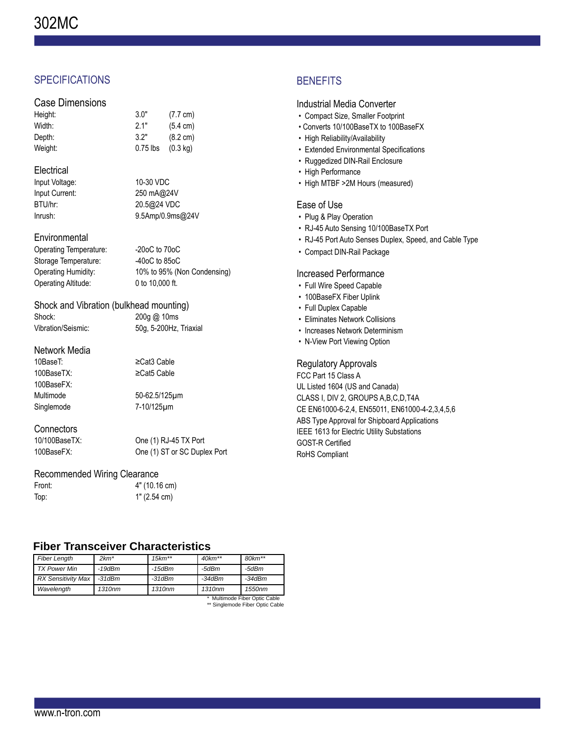# **SPECIFICATIONS**

## Case Dimensions

| Height: | 3.0"       | (7.7 cm)           |
|---------|------------|--------------------|
| Width:  | 2.1"       | $(5.4 \text{ cm})$ |
| Depth:  | 3.2"       | $(8.2 \text{ cm})$ |
| Weight: | $0.75$ lbs | $(0.3 \text{ kg})$ |

# **Electrical**

| Input Voltage: | 10-30 VDC        |
|----------------|------------------|
| Input Current: | 250 mA@24V       |
| BTU/hr:        | 20.5@24 VDC      |
| Inrush:        | 9.5Amp/0.9ms@24V |

## **Environmental**

| $-20$ oC to $70$ oC         |
|-----------------------------|
| $-40$ oC to 85oC            |
| 10% to 95% (Non Condensing) |
| 0 to 10,000 ft.             |
|                             |

#### Shock and Vibration (bulkhead mounting) Shock: 200g @ 10ms

Vibration/Seismic: 50g, 5-200Hz, Triaxial

#### Network Media

10BaseT: ≥Cat3 Cable 100BaseTX: ≥Cat5 Cable 100BaseFX:

Multimode 50-62.5/125μm Singlemode 7-10/125μm

#### **Connectors**

10/100BaseTX: One (1) RJ-45 TX Port 100BaseFX: One (1) ST or SC Duplex Port

# Recommended Wiring Clearance

| Front: | 4" (10.16 cm) |
|--------|---------------|
| Top:   | 1" (2.54 cm)  |

# **Fiber Transceiver Characteristics**

| <b>Fiber Length</b>           | $2km*$       | $15km**$           | $40km**$ | $80$ k $m**$ |
|-------------------------------|--------------|--------------------|----------|--------------|
| <b>TX Power Min</b>           | $-19$ d $Bm$ | -15dBm             | -5dBm    | -5dBm        |
| <b>RX Sensitivity Max</b>     | $-31dBm$     | $-31dBm$           | $-34dBm$ | $-34dBm$     |
| Wavelength                    | 1310nm       | 1310 <sub>nm</sub> | 1310nm   | 1550nm       |
| * Multimode Fiber Ontic Cable |              |                    |          |              |

\* Multimode Fiber Optic Cable \*\* Singlemode Fiber Optic Cable

# **BENEFITS**

## Industrial Media Converter

- Compact Size, Smaller Footprint
- Converts 10/100BaseTX to 100BaseFX
- High Reliability/Availability
- Extended Environmental Specifications
- Ruggedized DIN-Rail Enclosure
- High Performance
- High MTBF >2M Hours (measured)

## Ease of Use

- Plug & Play Operation
- RJ-45 Auto Sensing 10/100BaseTX Port
- RJ-45 Port Auto Senses Duplex, Speed, and Cable Type
- Compact DIN-Rail Package

# Increased Performance

- Full Wire Speed Capable
- 100BaseFX Fiber Uplink
- Full Duplex Capable
- Eliminates Network Collisions
- Increases Network Determinism
- N-View Port Viewing Option

## Regulatory Approvals

FCC Part 15 Class A UL Listed 1604 (US and Canada) CLASS I, DIV 2, GROUPS A,B,C,D,T4A CE EN61000-6-2,4, EN55011, EN61000-4-2,3,4,5,6 ABS Type Approval for Shipboard Applications IEEE 1613 for Electric Utility Substations GOST-R Certified RoHS Compliant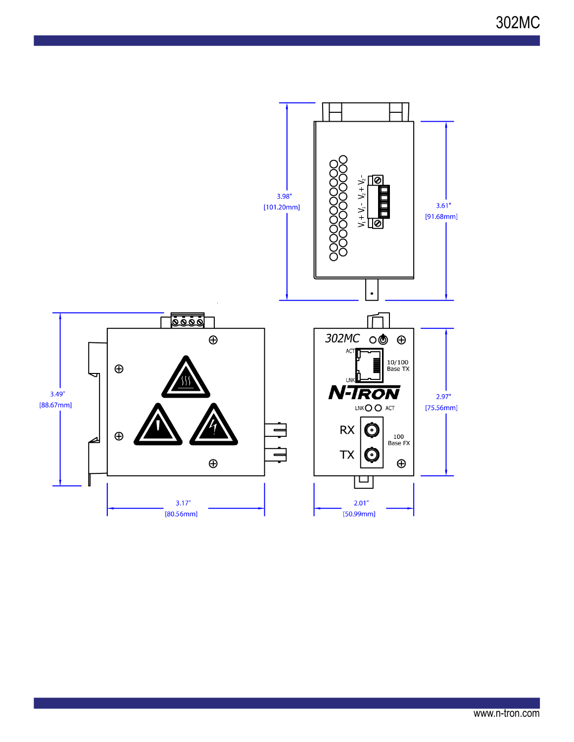